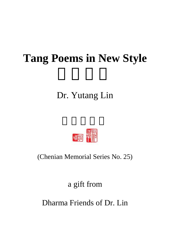# **Tang Poems in New Style**

#### Dr. Yutang Lin



#### (Chenian Memorial Series No. 25)

a gift from

Dharma Friends of Dr. Lin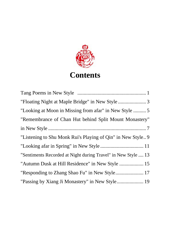

| "Remembrance of Chan Hut behind Split Mount Monastery"        |
|---------------------------------------------------------------|
|                                                               |
| "Listening to Shu Monk Rui's Playing of Qin" in New Style9    |
|                                                               |
| "Sentiments Recorded at Night during Travel" in New Style  13 |
|                                                               |
|                                                               |
|                                                               |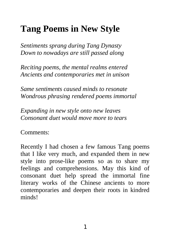#### **Tang Poems in New Style**

*Sentiments sprang during Tang Dynasty Down to nowadays are still passed along* 

*Reciting poems, the mental realms entered Ancients and contemporaries met in unison* 

*Same sentiments caused minds to resonate Wondrous phrasing rendered poems immortal* 

*Expanding in new style onto new leaves Consonant duet would move more to tears* 

Comments:

Recently I had chosen a few famous Tang poems that I like very much, and expanded them in new style into prose-like poems so as to share my feelings and comprehensions. May this kind of consonant duet help spread the immortal fine literary works of the Chinese ancients to more contemporaries and deepen their roots in kindred minds!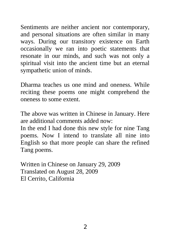Sentiments are neither ancient nor contemporary, and personal situations are often similar in many ways. During our transitory existence on Earth occasionally we ran into poetic statements that resonate in our minds, and such was not only a spiritual visit into the ancient time but an eternal sympathetic union of minds.

Dharma teaches us one mind and oneness. While reciting these poems one might comprehend the oneness to some extent.

The above was written in Chinese in January. Here are additional comments added now:

In the end I had done this new style for nine Tang poems. Now I intend to translate all nine into English so that more people can share the refined Tang poems.

Written in Chinese on January 29, 2009 Translated on August 28, 2009 El Cerrito, California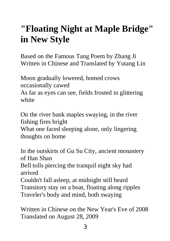### **"Floating Night at Maple Bridge" in New Style**

Based on the Famous Tang Poem by Zhang Ji Written in Chinese and Translated by Yutang Lin

Moon gradually lowered, homed crows occasionally cawed As far as eyes can see, fields frosted in glittering white

On the river bank maples swaying, in the river fishing fires bright What one faced sleeping alone, only lingering thoughts on home

In the outskirts of Gu Su City, ancient monastery of Han Shan Bell tolls piercing the tranquil night sky had arrived Couldn't fall asleep, at midnight still heard Transitory stay on a boat, floating along ripples Traveler's body and mind, both swaying

Written in Chinese on the New Year's Eve of 2008 Translated on August 28, 2009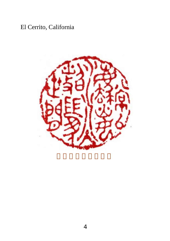El Cerrito, California

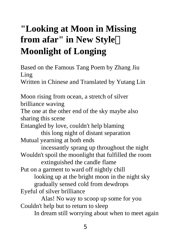### **"Looking at Moon in Missing from afar" in New Style**- **Moonlight of Longing**

Based on the Famous Tang Poem by Zhang Jiu Ling

Written in Chinese and Translated by Yutang Lin

Moon rising from ocean, a stretch of silver brilliance waving The one at the other end of the sky maybe also sharing this scene Entangled by love, couldn't help blaming this long night of distant separation Mutual yearning at both ends incessantly sprang up throughout the night Wouldn't spoil the moonlight that fulfilled the room extinguished the candle flame Put on a garment to ward off nightly chill looking up at the bright moon in the night sky gradually sensed cold from dewdrops Eyeful of silver brilliance Alas! No way to scoop up some for you Couldn't help but to return to sleep In dream still worrying about when to meet again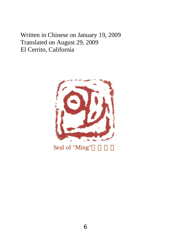Written in Chinese on January 19, 2009 Translated on August 29, 2009 El Cerrito, California



Seal of "Ming"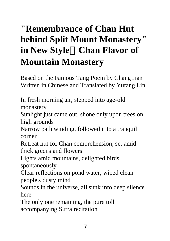### **"Remembrance of Chan Hut behind Split Mount Monastery" in New Style**-**Chan Flavor of Mountain Monastery**

Based on the Famous Tang Poem by Chang Jian Written in Chinese and Translated by Yutang Lin

In fresh morning air, stepped into age-old monastery

Sunlight just came out, shone only upon trees on high grounds

Narrow path winding, followed it to a tranquil corner

Retreat hut for Chan comprehension, set amid thick greens and flowers

Lights amid mountains, delighted birds spontaneously

Clear reflections on pond water, wiped clean people's dusty mind

Sounds in the universe, all sunk into deep silence here

The only one remaining, the pure toll accompanying Sutra recitation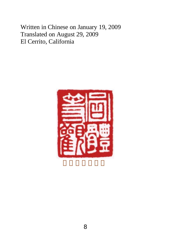Written in Chinese on January 19, 2009 Translated on August 29, 2009 El Cerrito, California

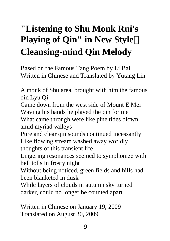## **"Listening to Shu Monk Rui's Playing of Qin" in New Style**- **Cleansing-mind Qin Melody**

Based on the Famous Tang Poem by Li Bai Written in Chinese and Translated by Yutang Lin

A monk of Shu area, brought with him the famous qin Lyu Qi Came down from the west side of Mount E Mei Waving his hands he played the qin for me What came through were like pine tides blown amid myriad valleys Pure and clear qin sounds continued incessantly Like flowing stream washed away worldly thoughts of this transient life Lingering resonances seemed to symphonize with bell tolls in frosty night Without being noticed, green fields and hills had been blanketed in dusk While layers of clouds in autumn sky turned darker, could no longer be counted apart

Written in Chinese on January 19, 2009 Translated on August 30, 2009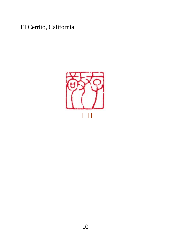El Cerrito, California

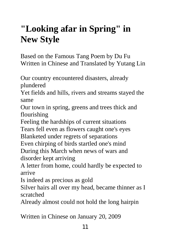### **"Looking afar in Spring" in New Style**

Based on the Famous Tang Poem by Du Fu Written in Chinese and Translated by Yutang Lin

Our country encountered disasters, already plundered

Yet fields and hills, rivers and streams stayed the same

Our town in spring, greens and trees thick and flourishing

Feeling the hardships of current situations Tears fell even as flowers caught one's eyes Blanketed under regrets of separations

Even chirping of birds startled one's mind

During this March when news of wars and disorder kept arriving

A letter from home, could hardly be expected to arrive

Is indeed as precious as gold

Silver hairs all over my head, became thinner as I scratched

Already almost could not hold the long hairpin

Written in Chinese on January 20, 2009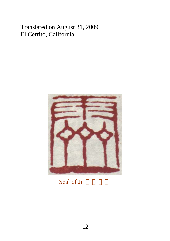Translated on August 31, 2009 El Cerrito, California



Seal of Ji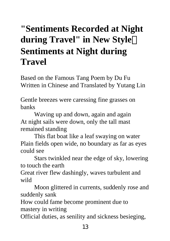### **"Sentiments Recorded at Night during Travel" in New Style**- **Sentiments at Night during Travel**

Based on the Famous Tang Poem by Du Fu Written in Chinese and Translated by Yutang Lin

Gentle breezes were caressing fine grasses on banks

 Waving up and down, again and again At night sails were down, only the tall mast remained standing

 This flat boat like a leaf swaying on water Plain fields open wide, no boundary as far as eyes could see

 Stars twinkled near the edge of sky, lowering to touch the earth

Great river flew dashingly, waves turbulent and wild

 Moon glittered in currents, suddenly rose and suddenly sank

How could fame become prominent due to mastery in writing

Official duties, as senility and sickness besieging,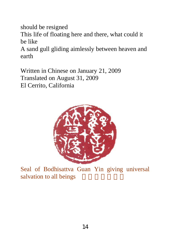should be resigned

This life of floating here and there, what could it be like

A sand gull gliding aimlessly between heaven and earth

Written in Chinese on January 21, 2009 Translated on August 31, 2009 El Cerrito, California



Seal of Bodhisattva Guan Yin giving universal salvation to all beings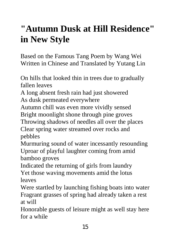### **"Autumn Dusk at Hill Residence" in New Style**

Based on the Famous Tang Poem by Wang Wei Written in Chinese and Translated by Yutang Lin

On hills that looked thin in trees due to gradually fallen leaves

A long absent fresh rain had just showered As dusk permeated everywhere

Autumn chill was even more vividly sensed Bright moonlight shone through pine groves

Throwing shadows of needles all over the places Clear spring water streamed over rocks and

pebbles

Murmuring sound of water incessantly resounding Uproar of playful laughter coming from amid bamboo groves

Indicated the returning of girls from laundry Yet those waving movements amid the lotus leaves

Were startled by launching fishing boats into water Fragrant grasses of spring had already taken a rest at will

Honorable guests of leisure might as well stay here for a while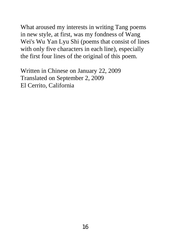What aroused my interests in writing Tang poems in new style, at first, was my fondness of Wang Wei's Wu Yan Lyu Shi (poems that consist of lines with only five characters in each line), especially the first four lines of the original of this poem.

Written in Chinese on January 22, 2009 Translated on September 2, 2009 El Cerrito, California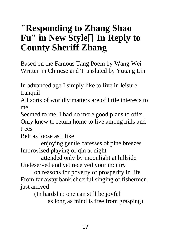#### **"Responding to Zhang Shao Fu" in New Style**-**In Reply to County Sheriff Zhang**

Based on the Famous Tang Poem by Wang Wei Written in Chinese and Translated by Yutang Lin

In advanced age I simply like to live in leisure tranquil

All sorts of worldly matters are of little interests to me

Seemed to me, I had no more good plans to offer Only knew to return home to live among hills and trees

Belt as loose as I like

enjoying gentle caresses of pine breezes Improvised playing of qin at night

attended only by moonlight at hillside Undeserved and yet received your inquiry

 on reasons for poverty or prosperity in life From far away bank cheerful singing of fishermen just arrived

(In hardship one can still be joyful

as long as mind is free from grasping)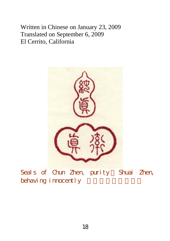Written in Chinese on January 23, 2009 Translated on September 6, 2009 El Cerrito, California



Seals of Chun Zhen, purity Shuai Zhen, behaving innocently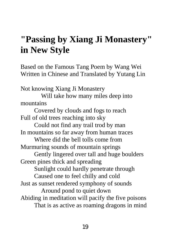#### **"Passing by Xiang Ji Monastery" in New Style**

Based on the Famous Tang Poem by Wang Wei Written in Chinese and Translated by Yutang Lin

Not knowing Xiang Ji Monastery

Will take how many miles deep into mountains

 Covered by clouds and fogs to reach Full of old trees reaching into sky

 Could not find any trail trod by man In mountains so far away from human traces

 Where did the bell tolls come from Murmuring sounds of mountain springs

 Gently lingered over tall and huge boulders Green pines thick and spreading

 Sunlight could hardly penetrate through Caused one to feel chilly and cold Just as sunset rendered symphony of sounds Around pond to quiet down Abiding in meditation will pacify the five poisons That is as active as roaming dragons in mind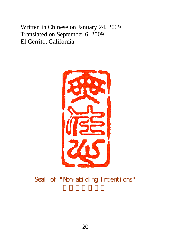Written in Chinese on January 24, 2009 Translated on September 6, 2009 El Cerrito, California



Seal of "Non-abiding Intentions"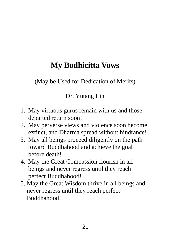#### **My Bodhicitta Vows**

(May be Used for Dedication of Merits)

#### Dr. Yutang Lin

- 1. May virtuous gurus remain with us and those departed return soon!
- 2. May perverse views and violence soon become extinct, and Dharma spread without hindrance!
- 3. May all beings proceed diligently on the path toward Buddhahood and achieve the goal before death!
- 4. May the Great Compassion flourish in all beings and never regress until they reach perfect Buddhahood!
- 5. May the Great Wisdom thrive in all beings and never regress until they reach perfect Buddhahood!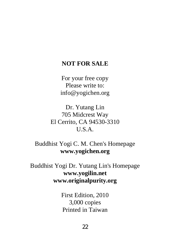#### **NOT FOR SALE**

For your free copy Please write to: info@yogichen.org

Dr. Yutang Lin 705 Midcrest Way El Cerrito, CA 94530-3310 U.S.A.

Buddhist Yogi C. M. Chen's Homepage **www.yogichen.org**

Buddhist Yogi Dr. Yutang Lin's Homepage **www.yogilin.net www.originalpurity.org** 

> First Edition, 2010 3,000 copies Printed in Taiwan

> > 22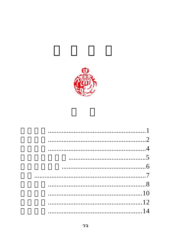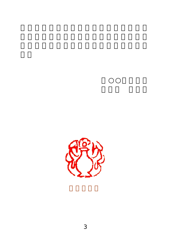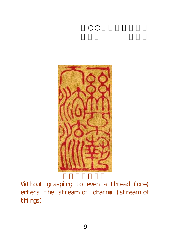

Without grasping to even a thread (one) enters the stream of dharma (stream of things)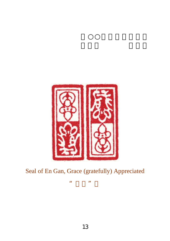

#### Seal of En Gan, Grace (gratefully) Appreciated

"恩感"印